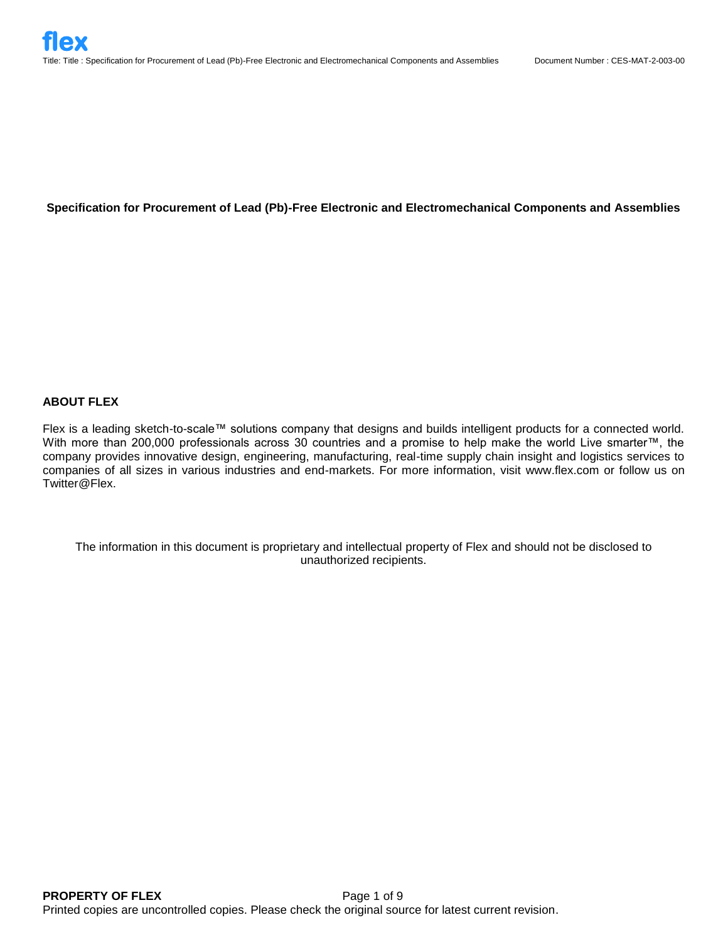# **Specification for Procurement of Lead (Pb)-Free Electronic and Electromechanical Components and Assemblies**

# **ABOUT FLEX**

Flex is a leading sketch-to-scale™ solutions company that designs and builds intelligent products for a connected world. With more than 200,000 professionals across 30 countries and a promise to help make the world Live smarter™, the company provides innovative design, engineering, manufacturing, real-time supply chain insight and logistics services to companies of all sizes in various industries and end-markets. For more information, visit www.flex.com or follow us on Twitter@Flex.

The information in this document is proprietary and intellectual property of Flex and should not be disclosed to unauthorized recipients.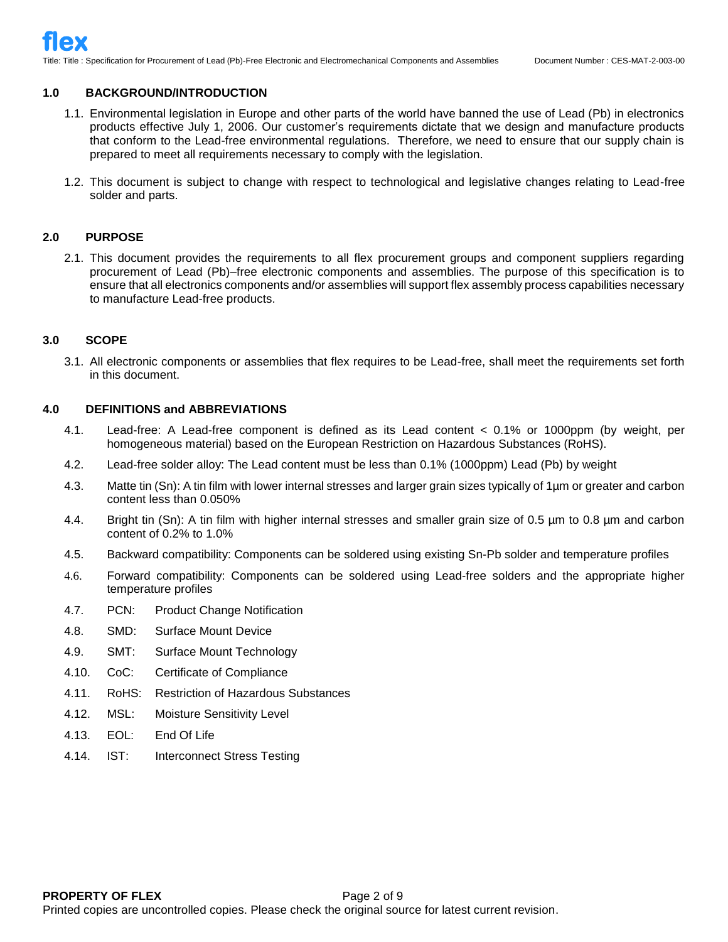Title: Title : Specification for Procurement of Lead (Pb)-Free Electronic and Electromechanical Components and Assemblies Document Number : CES-MAT-2-003-00

## **1.0 BACKGROUND/INTRODUCTION**

- 1.1. Environmental legislation in Europe and other parts of the world have banned the use of Lead (Pb) in electronics products effective July 1, 2006. Our customer's requirements dictate that we design and manufacture products that conform to the Lead-free environmental regulations. Therefore, we need to ensure that our supply chain is prepared to meet all requirements necessary to comply with the legislation.
- 1.2. This document is subject to change with respect to technological and legislative changes relating to Lead-free solder and parts.

## **2.0 PURPOSE**

2.1. This document provides the requirements to all flex procurement groups and component suppliers regarding procurement of Lead (Pb)–free electronic components and assemblies. The purpose of this specification is to ensure that all electronics components and/or assemblies will support flex assembly process capabilities necessary to manufacture Lead-free products.

# **3.0 SCOPE**

3.1. All electronic components or assemblies that flex requires to be Lead-free, shall meet the requirements set forth in this document.

## **4.0 DEFINITIONS and ABBREVIATIONS**

- 4.1. Lead-free: A Lead-free component is defined as its Lead content < 0.1% or 1000ppm (by weight, per homogeneous material) based on the European Restriction on Hazardous Substances (RoHS).
- 4.2. Lead-free solder alloy: The Lead content must be less than 0.1% (1000ppm) Lead (Pb) by weight
- 4.3. Matte tin (Sn): A tin film with lower internal stresses and larger grain sizes typically of 1µm or greater and carbon content less than 0.050%
- 4.4. Bright tin (Sn): A tin film with higher internal stresses and smaller grain size of 0.5 µm to 0.8 µm and carbon content of 0.2% to 1.0%
- 4.5. Backward compatibility: Components can be soldered using existing Sn-Pb solder and temperature profiles
- 4.6. Forward compatibility: Components can be soldered using Lead-free solders and the appropriate higher temperature profiles
- 4.7. PCN: Product Change Notification
- 4.8. SMD: Surface Mount Device
- 4.9. SMT: Surface Mount Technology
- 4.10. CoC: Certificate of Compliance
- 4.11. RoHS: Restriction of Hazardous Substances
- 4.12. MSL: Moisture Sensitivity Level
- 4.13. EOL: End Of Life
- 4.14. IST: Interconnect Stress Testing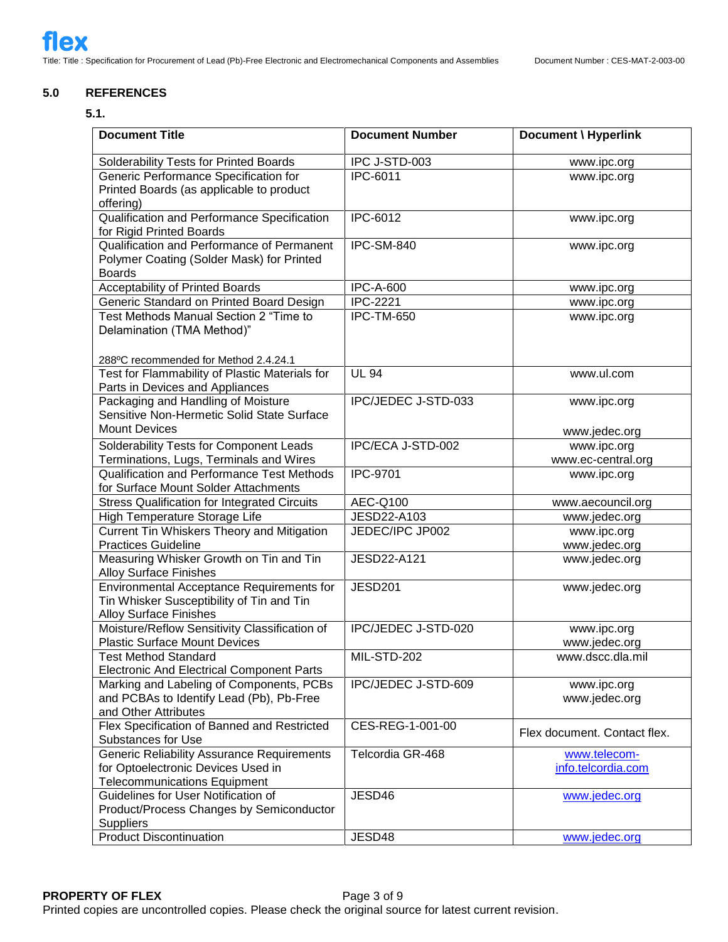# **5.0 REFERENCES**

### **5.1.**

| <b>Document Title</b>                                                                                                          | <b>Document Number</b>     | Document \ Hyperlink               |
|--------------------------------------------------------------------------------------------------------------------------------|----------------------------|------------------------------------|
| Solderability Tests for Printed Boards                                                                                         | IPC J-STD-003              | www.ipc.org                        |
| Generic Performance Specification for<br>Printed Boards (as applicable to product<br>offering)                                 | IPC-6011                   | www.ipc.org                        |
| Qualification and Performance Specification<br>for Rigid Printed Boards                                                        | IPC-6012                   | www.ipc.org                        |
| Qualification and Performance of Permanent<br>Polymer Coating (Solder Mask) for Printed<br><b>Boards</b>                       | IPC-SM-840                 | www.ipc.org                        |
| Acceptability of Printed Boards                                                                                                | <b>IPC-A-600</b>           | www.ipc.org                        |
| Generic Standard on Printed Board Design                                                                                       | <b>IPC-2221</b>            | www.ipc.org                        |
| Test Methods Manual Section 2 "Time to<br>Delamination (TMA Method)"                                                           | <b>IPC-TM-650</b>          | www.ipc.org                        |
| 288°C recommended for Method 2.4.24.1                                                                                          |                            |                                    |
| Test for Flammability of Plastic Materials for<br>Parts in Devices and Appliances                                              | <b>UL 94</b>               | www.ul.com                         |
| Packaging and Handling of Moisture<br>Sensitive Non-Hermetic Solid State Surface<br><b>Mount Devices</b>                       | <b>IPC/JEDEC J-STD-033</b> | www.ipc.org                        |
|                                                                                                                                | IPC/ECA J-STD-002          | www.jedec.org<br>www.ipc.org       |
| Solderability Tests for Component Leads<br>Terminations, Lugs, Terminals and Wires                                             |                            | www.ec-central.org                 |
| Qualification and Performance Test Methods<br>for Surface Mount Solder Attachments                                             | <b>IPC-9701</b>            | www.ipc.org                        |
| <b>Stress Qualification for Integrated Circuits</b>                                                                            | AEC-Q100                   | www.aecouncil.org                  |
| High Temperature Storage Life                                                                                                  | JESD22-A103                | www.jedec.org                      |
| Current Tin Whiskers Theory and Mitigation                                                                                     | JEDEC/IPC JP002            | www.ipc.org                        |
| <b>Practices Guideline</b>                                                                                                     |                            | www.jedec.org                      |
| Measuring Whisker Growth on Tin and Tin<br><b>Alloy Surface Finishes</b>                                                       | JESD22-A121                | www.jedec.org                      |
| Environmental Acceptance Requirements for<br>Tin Whisker Susceptibility of Tin and Tin<br><b>Alloy Surface Finishes</b>        | <b>JESD201</b>             | www.jedec.org                      |
| Moisture/Reflow Sensitivity Classification of<br><b>Plastic Surface Mount Devices</b>                                          | IPC/JEDEC J-STD-020        | www.ipc.org<br>www.jedec.org       |
| <b>Test Method Standard</b><br><b>Electronic And Electrical Component Parts</b>                                                | MIL-STD-202                | www.dscc.dla.mil                   |
| Marking and Labeling of Components, PCBs<br>and PCBAs to Identify Lead (Pb), Pb-Free<br>and Other Attributes                   | IPC/JEDEC J-STD-609        | www.ipc.org<br>www.jedec.org       |
| Flex Specification of Banned and Restricted<br>Substances for Use                                                              | CES-REG-1-001-00           | Flex document. Contact flex.       |
| <b>Generic Reliability Assurance Requirements</b><br>for Optoelectronic Devices Used in<br><b>Telecommunications Equipment</b> | Telcordia GR-468           | www.telecom-<br>info.telcordia.com |
| Guidelines for User Notification of<br>Product/Process Changes by Semiconductor<br><b>Suppliers</b>                            | JESD46                     | www.jedec.org                      |
| <b>Product Discontinuation</b>                                                                                                 | JESD48                     | www.jedec.org                      |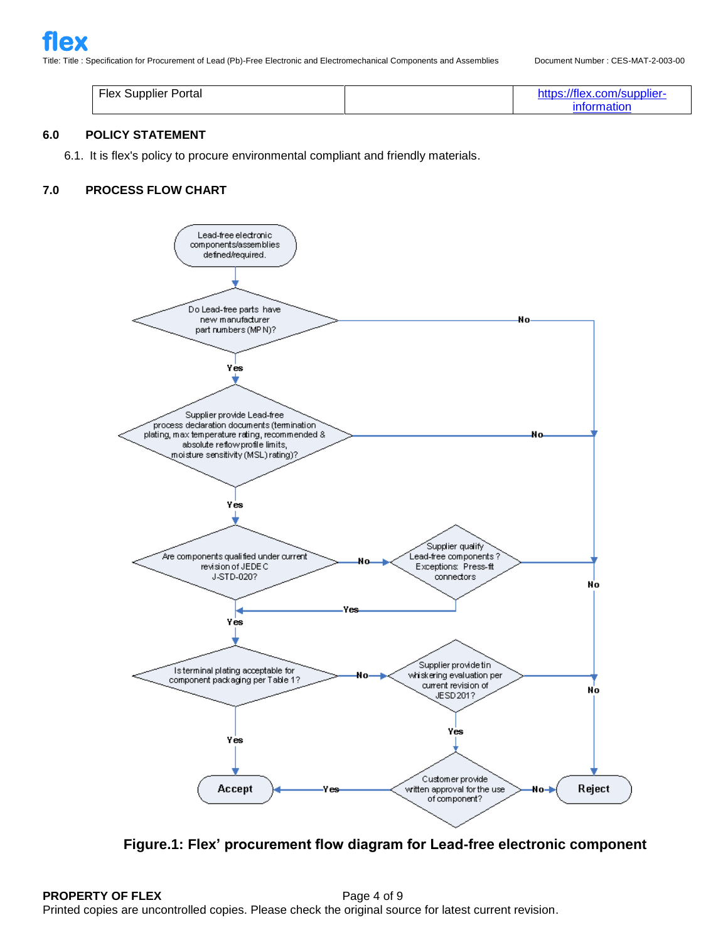| <b>Flex Supplier Portal</b> | https://flex.com/supplier- |
|-----------------------------|----------------------------|
|                             | <b>Information</b>         |

# **6.0 POLICY STATEMENT**

6.1. It is flex's policy to procure environmental compliant and friendly materials.

# **7.0 PROCESS FLOW CHART**



**Figure.1: Flex' procurement flow diagram for Lead-free electronic component**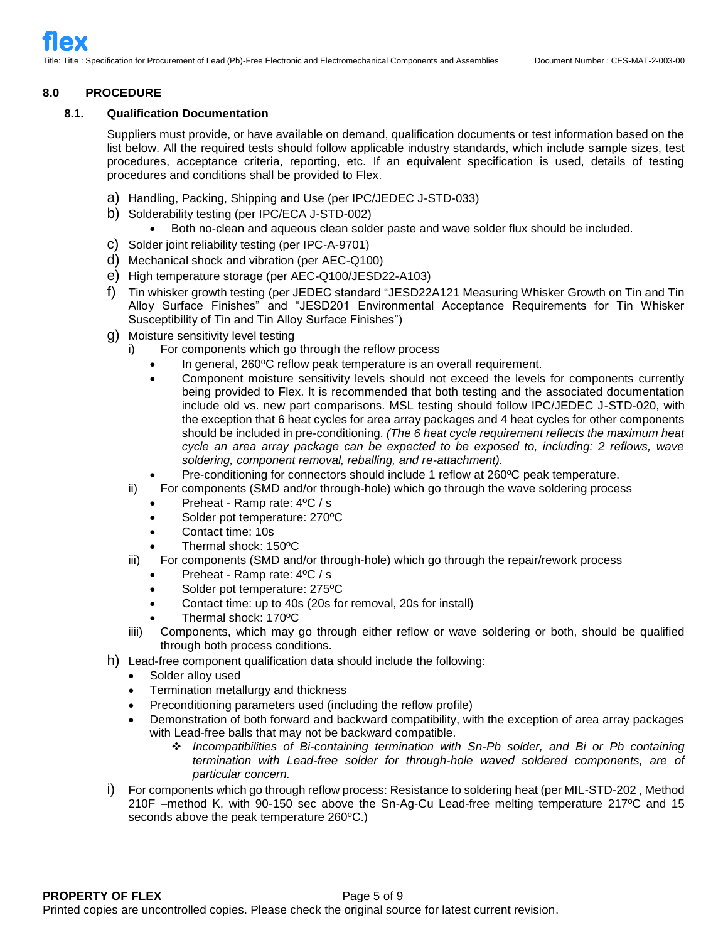## **8.0 PROCEDURE**

## **8.1. Qualification Documentation**

Suppliers must provide, or have available on demand, qualification documents or test information based on the list below. All the required tests should follow applicable industry standards, which include sample sizes, test procedures, acceptance criteria, reporting, etc. If an equivalent specification is used, details of testing procedures and conditions shall be provided to Flex.

- a) Handling, Packing, Shipping and Use (per IPC/JEDEC J-STD-033)
- b) Solderability testing (per IPC/ECA J-STD-002)
	- Both no-clean and aqueous clean solder paste and wave solder flux should be included.
- c) Solder joint reliability testing (per IPC-A-9701)
- d) Mechanical shock and vibration (per AEC-Q100)
- e) High temperature storage (per AEC-Q100/JESD22-A103)
- f) Tin whisker growth testing (per JEDEC standard "JESD22A121 Measuring Whisker Growth on Tin and Tin Alloy Surface Finishes" and "JESD201 Environmental Acceptance Requirements for Tin Whisker Susceptibility of Tin and Tin Alloy Surface Finishes")
- g) Moisture sensitivity level testing
	- i) For components which go through the reflow process
		- In general, 260ºC reflow peak temperature is an overall requirement.
		- Component moisture sensitivity levels should not exceed the levels for components currently being provided to Flex. It is recommended that both testing and the associated documentation include old vs. new part comparisons. MSL testing should follow IPC/JEDEC J-STD-020, with the exception that 6 heat cycles for area array packages and 4 heat cycles for other components should be included in pre-conditioning. *(The 6 heat cycle requirement reflects the maximum heat cycle an area array package can be expected to be exposed to, including: 2 reflows, wave soldering, component removal, reballing, and re-attachment).*
	- Pre-conditioning for connectors should include 1 reflow at 260ºC peak temperature.
	- ii) For components (SMD and/or through-hole) which go through the wave soldering process
		- Preheat Ramp rate: 4ºC / s
		- Solder pot temperature: 270°C
		- Contact time: 10s
		- Thermal shock: 150ºC
	- iii) For components (SMD and/or through-hole) which go through the repair/rework process
		- Preheat Ramp rate: 4ºC / s
		- Solder pot temperature: 275°C
		- Contact time: up to 40s (20s for removal, 20s for install)
		- Thermal shock: 170ºC
	- iiii) Components, which may go through either reflow or wave soldering or both, should be qualified through both process conditions.
- h) Lead-free component qualification data should include the following:
	- Solder alloy used
	- Termination metallurgy and thickness
	- Preconditioning parameters used (including the reflow profile)
	- Demonstration of both forward and backward compatibility, with the exception of area array packages with Lead-free balls that may not be backward compatible.
		- ❖ *Incompatibilities of Bi-containing termination with Sn-Pb solder, and Bi or Pb containing termination with Lead-free solder for through-hole waved soldered components, are of particular concern.*
- i) For components which go through reflow process: Resistance to soldering heat (per MIL-STD-202 , Method 210F –method K, with 90-150 sec above the Sn-Ag-Cu Lead-free melting temperature 217ºC and 15 seconds above the peak temperature 260ºC.)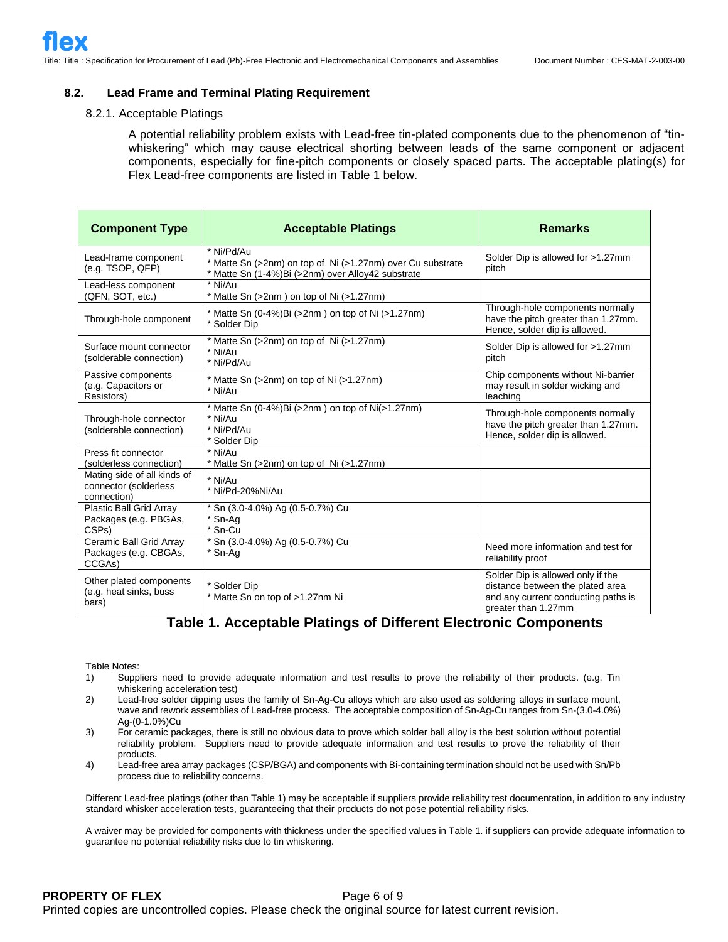#### **8.2. Lead Frame and Terminal Plating Requirement**

#### 8.2.1. Acceptable Platings

A potential reliability problem exists with Lead-free tin-plated components due to the phenomenon of "tinwhiskering" which may cause electrical shorting between leads of the same component or adjacent components, especially for fine-pitch components or closely spaced parts. The acceptable plating(s) for Flex Lead-free components are listed in Table 1 below.

| <b>Component Type</b>                                                  | <b>Acceptable Platings</b>                                                                                                    | <b>Remarks</b>                                                                                                                      |
|------------------------------------------------------------------------|-------------------------------------------------------------------------------------------------------------------------------|-------------------------------------------------------------------------------------------------------------------------------------|
| Lead-frame component<br>(e.g. TSOP, QFP)                               | * Ni/Pd/Au<br>* Matte Sn (>2nm) on top of Ni (>1.27nm) over Cu substrate<br>* Matte Sn (1-4%)Bi (>2nm) over Alloy42 substrate | Solder Dip is allowed for >1.27mm<br>pitch                                                                                          |
| Lead-less component<br>(QFN, SOT, etc.)                                | * Ni/Au<br>* Matte Sn (>2nm) on top of Ni (>1.27nm)                                                                           |                                                                                                                                     |
| Through-hole component                                                 | * Matte Sn (0-4%)Bi (>2nm) on top of Ni (>1.27nm)<br>* Solder Dip                                                             | Through-hole components normally<br>have the pitch greater than 1.27mm.<br>Hence, solder dip is allowed.                            |
| Surface mount connector<br>(solderable connection)                     | * Matte Sn (>2nm) on top of Ni (>1.27nm)<br>* Ni/Au<br>* Ni/Pd/Au                                                             | Solder Dip is allowed for >1.27mm<br>pitch                                                                                          |
| Passive components<br>(e.g. Capacitors or<br>Resistors)                | * Matte Sn (>2nm) on top of Ni (>1.27nm)<br>* Ni/Au                                                                           | Chip components without Ni-barrier<br>may result in solder wicking and<br>leaching                                                  |
| Through-hole connector<br>(solderable connection)                      | * Matte Sn $(0-4\%)$ Bi $(>2$ nm) on top of Ni $(>1.27$ nm)<br>* Ni/Au<br>* Ni/Pd/Au<br>* Solder Dip                          | Through-hole components normally<br>have the pitch greater than 1.27mm.<br>Hence, solder dip is allowed.                            |
| Press fit connector<br>(solderless connection)                         | * Ni/Au<br>* Matte Sn (>2nm) on top of Ni (>1.27nm)                                                                           |                                                                                                                                     |
| Mating side of all kinds of<br>connector (solderless<br>connection)    | * Ni/Au<br>* Ni/Pd-20%Ni/Au                                                                                                   |                                                                                                                                     |
| Plastic Ball Grid Array<br>Packages (e.g. PBGAs,<br>CSP <sub>s</sub> ) | * Sn (3.0-4.0%) Ag (0.5-0.7%) Cu<br>* Sn-Ag<br>* Sn-Cu                                                                        |                                                                                                                                     |
| Ceramic Ball Grid Array<br>Packages (e.g. CBGAs,<br>CCGAs)             | * Sn (3.0-4.0%) Ag (0.5-0.7%) Cu<br>* Sn-Aa                                                                                   | Need more information and test for<br>reliability proof                                                                             |
| Other plated components<br>(e.g. heat sinks, buss<br>bars)             | * Solder Dip<br>* Matte Sn on top of >1.27nm Ni                                                                               | Solder Dip is allowed only if the<br>distance between the plated area<br>and any current conducting paths is<br>greater than 1.27mm |

# **Table 1. Acceptable Platings of Different Electronic Components**

Table Notes:

- 1) Suppliers need to provide adequate information and test results to prove the reliability of their products. (e.g. Tin whiskering acceleration test)
- 2) Lead-free solder dipping uses the family of Sn-Ag-Cu alloys which are also used as soldering alloys in surface mount, wave and rework assemblies of Lead-free process. The acceptable composition of Sn-Ag-Cu ranges from Sn-(3.0-4.0%) Ag-(0-1.0%)Cu
- 3) For ceramic packages, there is still no obvious data to prove which solder ball alloy is the best solution without potential reliability problem. Suppliers need to provide adequate information and test results to prove the reliability of their products.
- 4) Lead-free area array packages (CSP/BGA) and components with Bi-containing termination should not be used with Sn/Pb process due to reliability concerns.

Different Lead-free platings (other than Table 1) may be acceptable if suppliers provide reliability test documentation, in addition to any industry standard whisker acceleration tests, guaranteeing that their products do not pose potential reliability risks.

A waiver may be provided for components with thickness under the specified values in Table 1. if suppliers can provide adequate information to guarantee no potential reliability risks due to tin whiskering.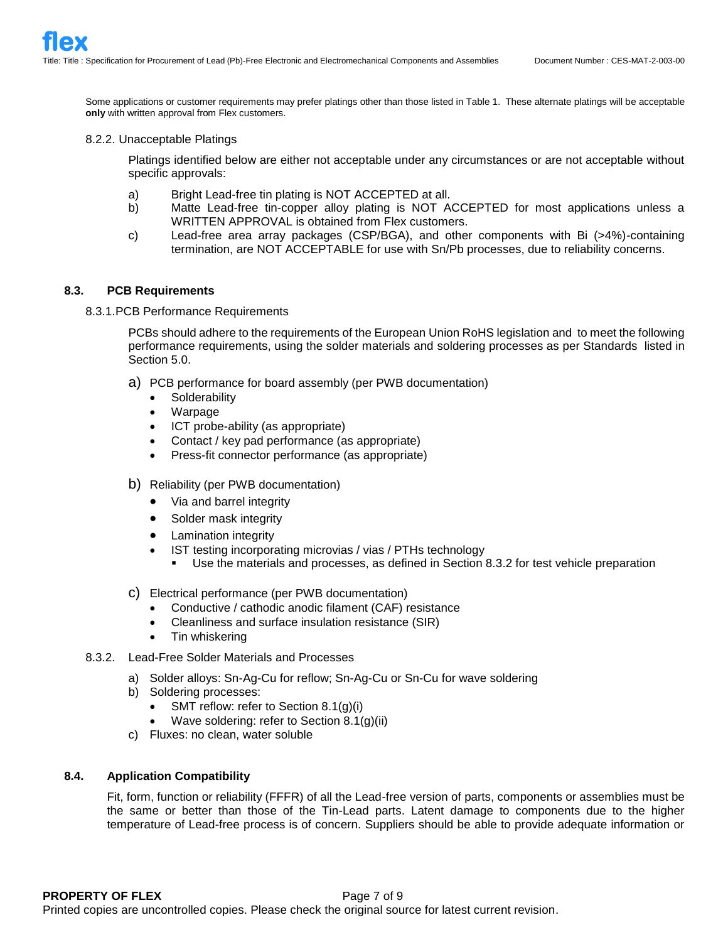Some applications or customer requirements may prefer platings other than those listed in Table 1. These alternate platings will be acceptable **only** with written approval from Flex customers.

### 8.2.2. Unacceptable Platings

Platings identified below are either not acceptable under any circumstances or are not acceptable without specific approvals:

- a) Bright Lead-free tin plating is NOT ACCEPTED at all.
- b) Matte Lead-free tin-copper alloy plating is NOT ACCEPTED for most applications unless a WRITTEN APPROVAL is obtained from Flex customers.
- c) Lead-free area array packages (CSP/BGA), and other components with Bi (>4%)-containing termination, are NOT ACCEPTABLE for use with Sn/Pb processes, due to reliability concerns.

# **8.3. PCB Requirements**

8.3.1.PCB Performance Requirements

PCBs should adhere to the requirements of the European Union RoHS legislation and to meet the following performance requirements, using the solder materials and soldering processes as per Standards listed in Section 5.0.

- a) PCB performance for board assembly (per PWB documentation)
	- Solderability
	- Warpage
	- ICT probe-ability (as appropriate)
	- Contact / key pad performance (as appropriate)
	- Press-fit connector performance (as appropriate)
- b) Reliability (per PWB documentation)
	- Via and barrel integrity
	- Solder mask integrity
	- Lamination integrity
	- IST testing incorporating microvias / vias / PTHs technology
		- Use the materials and processes, as defined in Section 8.3.2 for test vehicle preparation
- c) Electrical performance (per PWB documentation)
	- Conductive / cathodic anodic filament (CAF) resistance
	- Cleanliness and surface insulation resistance (SIR)
	- Tin whiskering
- 8.3.2. Lead-Free Solder Materials and Processes
	- a) Solder alloys: Sn-Ag-Cu for reflow; Sn-Ag-Cu or Sn-Cu for wave soldering
	- b) Soldering processes:
		- SMT reflow: refer to Section 8.1(g)(i)
		- Wave soldering: refer to Section 8.1(g)(ii)
	- c) Fluxes: no clean, water soluble

## **8.4. Application Compatibility**

Fit, form, function or reliability (FFFR) of all the Lead-free version of parts, components or assemblies must be the same or better than those of the Tin-Lead parts. Latent damage to components due to the higher temperature of Lead-free process is of concern. Suppliers should be able to provide adequate information or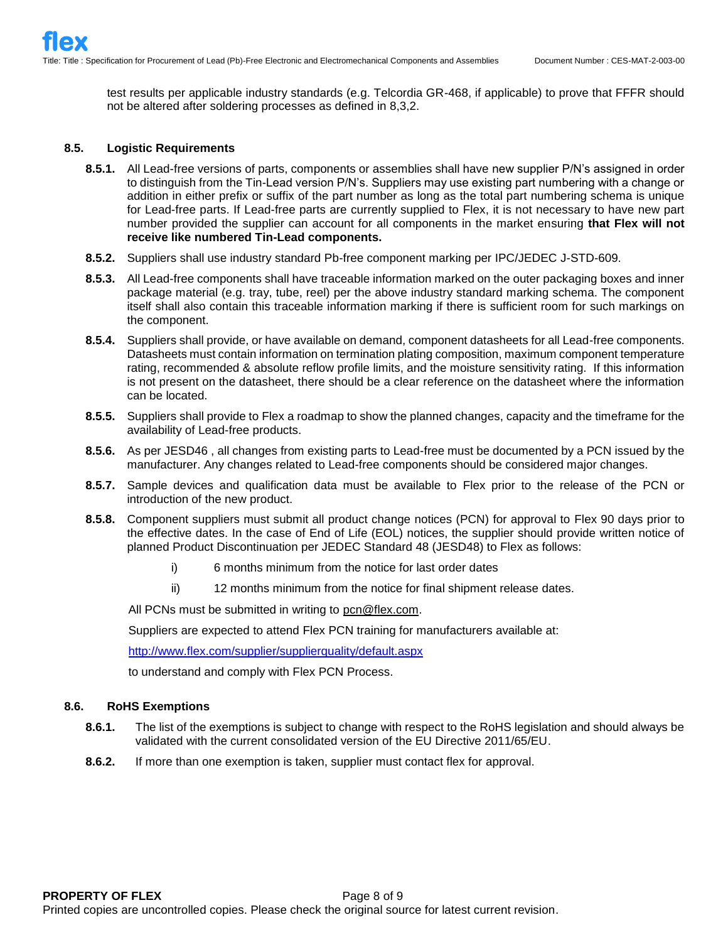test results per applicable industry standards (e.g. Telcordia GR-468, if applicable) to prove that FFFR should not be altered after soldering processes as defined in 8,3,2.

# **8.5. Logistic Requirements**

- **8.5.1.** All Lead-free versions of parts, components or assemblies shall have new supplier P/N's assigned in order to distinguish from the Tin-Lead version P/N's. Suppliers may use existing part numbering with a change or addition in either prefix or suffix of the part number as long as the total part numbering schema is unique for Lead-free parts. If Lead-free parts are currently supplied to Flex, it is not necessary to have new part number provided the supplier can account for all components in the market ensuring **that Flex will not receive like numbered Tin-Lead components.**
- **8.5.2.** Suppliers shall use industry standard Pb-free component marking per IPC/JEDEC J-STD-609.
- **8.5.3.** All Lead-free components shall have traceable information marked on the outer packaging boxes and inner package material (e.g. tray, tube, reel) per the above industry standard marking schema. The component itself shall also contain this traceable information marking if there is sufficient room for such markings on the component.
- **8.5.4.** Suppliers shall provide, or have available on demand, component datasheets for all Lead-free components. Datasheets must contain information on termination plating composition, maximum component temperature rating, recommended & absolute reflow profile limits, and the moisture sensitivity rating. If this information is not present on the datasheet, there should be a clear reference on the datasheet where the information can be located.
- **8.5.5.** Suppliers shall provide to Flex a roadmap to show the planned changes, capacity and the timeframe for the availability of Lead-free products.
- **8.5.6.** As per JESD46 , all changes from existing parts to Lead-free must be documented by a PCN issued by the manufacturer. Any changes related to Lead-free components should be considered major changes.
- **8.5.7.** Sample devices and qualification data must be available to Flex prior to the release of the PCN or introduction of the new product.
- **8.5.8.** Component suppliers must submit all product change notices (PCN) for approval to Flex 90 days prior to the effective dates. In the case of End of Life (EOL) notices, the supplier should provide written notice of planned Product Discontinuation per JEDEC Standard 48 (JESD48) to Flex as follows:
	- i) 6 months minimum from the notice for last order dates
	- ii) 12 months minimum from the notice for final shipment release dates.

All PCNs must be submitted in writing to [pcn@flex.com.](mailto:pcn@flextronics.com)

Suppliers are expected to attend Flex PCN training for manufacturers available at:

[http://www.flex.com/supplier/supplierquality/default.aspx](http://www.flextronics.com/supplier/supplierquality/default.aspx)

to understand and comply with Flex PCN Process.

# **8.6. RoHS Exemptions**

- **8.6.1.** The list of the exemptions is subject to change with respect to the RoHS legislation and should always be validated with the current consolidated version of the EU Directive 2011/65/EU.
- **8.6.2.** If more than one exemption is taken, supplier must contact flex for approval.